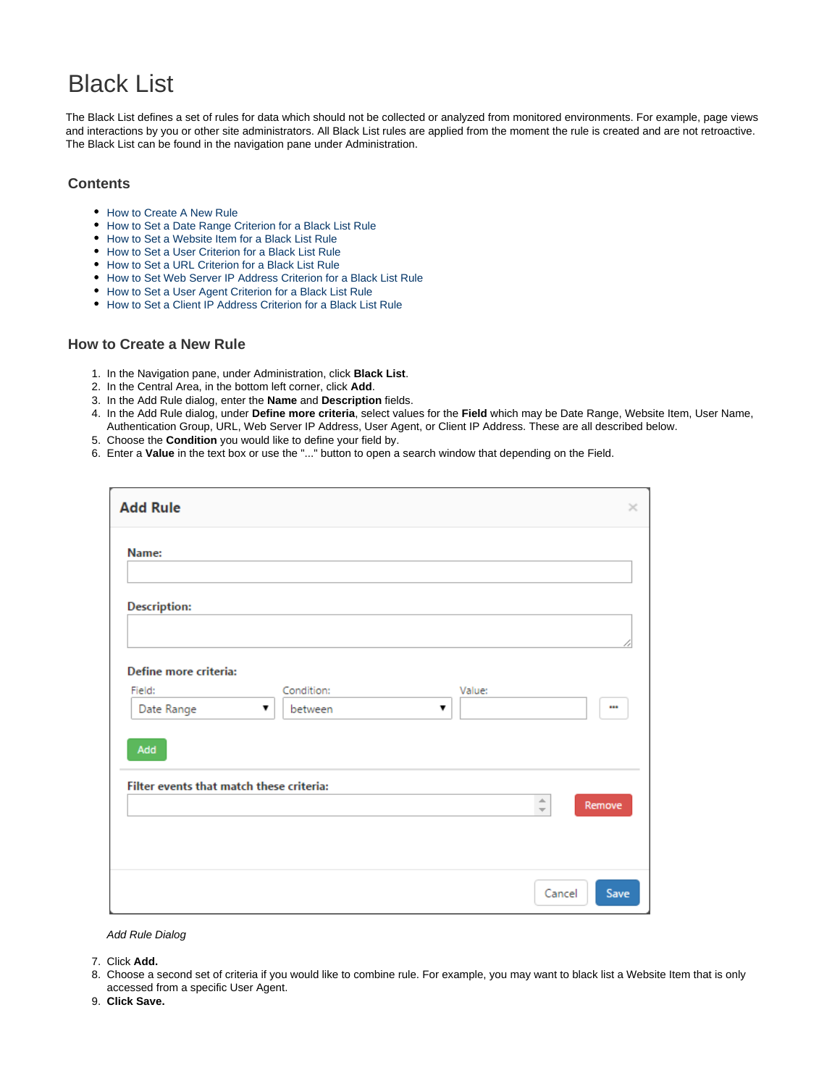# Black List

The Black List defines a set of rules for data which should not be collected or analyzed from monitored environments. For example, page views and interactions by you or other site administrators. All Black List rules are applied from the moment the rule is created and are not retroactive. The Black List can be found in the navigation pane under Administration.

#### **Contents**

- [How to Create A New Rule](#page-0-0)
- [How to Set a Date Range Criterion for a Black List Rule](#page-2-0)
- [How to Set a Website Item for a Black List Rule](#page-3-0)
- [How to Set a User Criterion for a Black List Rule](#page-4-0)
- [How to Set a URL Criterion for a Black List Rule](#page-5-0)
- [How to Set Web Server IP Address Criterion for a Black List Rule](#page-6-0)
- [How to Set a User Agent Criterion for a Black List Rule](#page-7-0)
- [How to Set a Client IP Address Criterion for a Black List Rule](#page-8-0)

#### <span id="page-0-0"></span>**How to Create a New Rule**

- 1. In the Navigation pane, under Administration, click **Black List**.
- 2. In the Central Area, in the bottom left corner, click **Add**.
- 3. In the Add Rule dialog, enter the **Name** and **Description** fields.
- 4. In the Add Rule dialog, under **Define more criteria**, select values for the **Field** which may be Date Range, Website Item, User Name, Authentication Group, URL, Web Server IP Address, User Agent, or Client IP Address. These are all described below.
- 5. Choose the **Condition** you would like to define your field by.
- 6. Enter a **Value** in the text box or use the "..." button to open a search window that depending on the Field.

| <b>Add Rule</b>                                                                                   | ×                                                      |
|---------------------------------------------------------------------------------------------------|--------------------------------------------------------|
| Name:                                                                                             |                                                        |
| <b>Description:</b>                                                                               |                                                        |
| Define more criteria:<br>Condition:<br>Field:<br>Value:<br>Date Range<br>between<br>▼<br>▼<br>Add |                                                        |
| Filter events that match these criteria:                                                          | $\blacktriangle$<br>Remove<br>$\overline{\phantom{a}}$ |
|                                                                                                   | Cancel<br>Save                                         |

#### Add Rule Dialog

- 7. Click **Add.**
- 8. Choose a second set of criteria if you would like to combine rule. For example, you may want to black list a Website Item that is only accessed from a specific User Agent.
- 9. **Click Save.**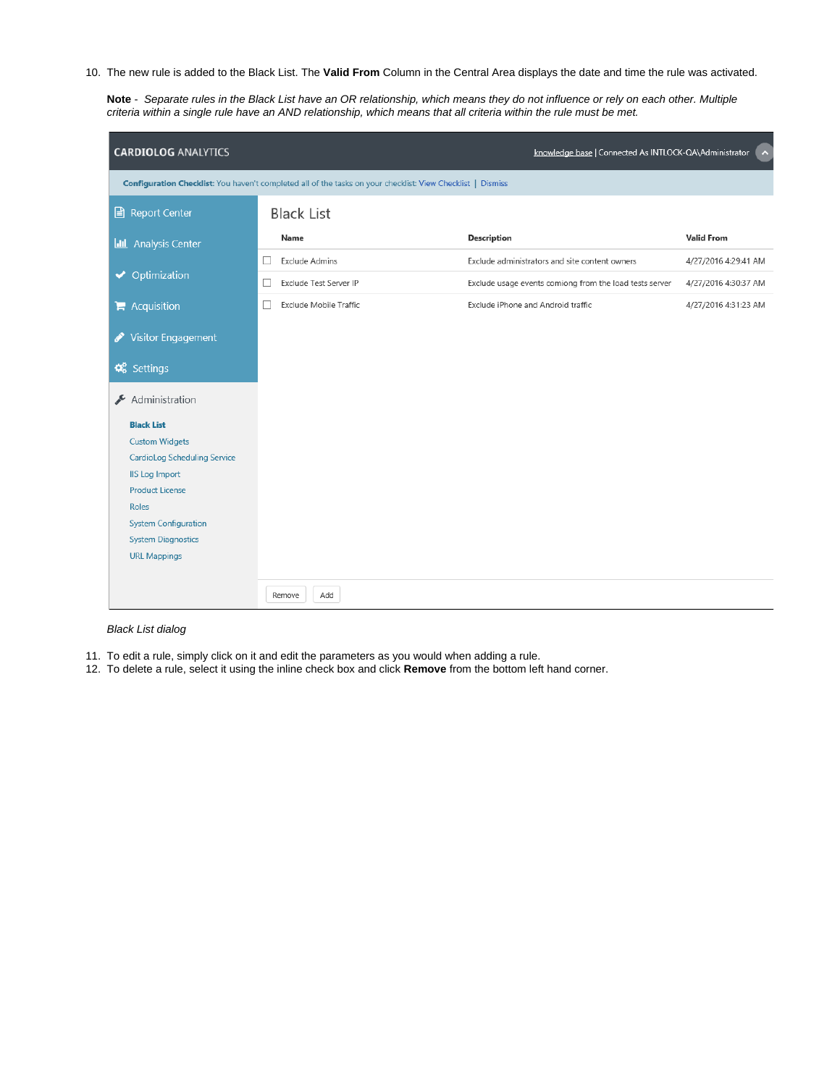10. The new rule is added to the Black List. The **Valid From** Column in the Central Area displays the date and time the rule was activated.

**Note** - Separate rules in the Black List have an OR relationship, which means they do not influence or rely on each other. Multiple criteria within a single rule have an AND relationship, which means that all criteria within the rule must be met.

| <b>CARDIOLOG ANALYTICS</b>            |                                                                                                             | knowledge base   Connected As INTLOCK-QA\Administrator  | $\hat{\phantom{a}}$  |
|---------------------------------------|-------------------------------------------------------------------------------------------------------------|---------------------------------------------------------|----------------------|
|                                       | Configuration Checklist: You haven't completed all of the tasks on your checklist: View Checklist   Dismiss |                                                         |                      |
| <b>Report Center</b><br>B             | <b>Black List</b>                                                                                           |                                                         |                      |
| <b>Analysis Center</b><br><u>ldıl</u> | Name                                                                                                        | <b>Description</b>                                      | <b>Valid From</b>    |
|                                       | <b>Exclude Admins</b><br>ш                                                                                  | Exclude administrators and site content owners          | 4/27/2016 4:29:41 AM |
| Optimization<br>$\blacktriangledown$  | Exclude Test Server IP                                                                                      | Exclude usage events comiong from the load tests server | 4/27/2016 4:30:37 AM |
| $\blacktriangleright$ Acquisition     | Exclude Mobile Traffic                                                                                      | Exclude iPhone and Android traffic                      | 4/27/2016 4:31:23 AM |
| <b>Visitor Engagement</b><br>I        |                                                                                                             |                                                         |                      |
|                                       |                                                                                                             |                                                         |                      |
| <b>Q</b> <sup>8</sup> Settings        |                                                                                                             |                                                         |                      |
| Administration<br>₽                   |                                                                                                             |                                                         |                      |
| <b>Black List</b>                     |                                                                                                             |                                                         |                      |
| <b>Custom Widgets</b>                 |                                                                                                             |                                                         |                      |
| <b>CardioLog Scheduling Service</b>   |                                                                                                             |                                                         |                      |
| <b>IIS Log Import</b>                 |                                                                                                             |                                                         |                      |
| <b>Product License</b>                |                                                                                                             |                                                         |                      |
| <b>Roles</b>                          |                                                                                                             |                                                         |                      |
| <b>System Configuration</b>           |                                                                                                             |                                                         |                      |
| <b>System Diagnostics</b>             |                                                                                                             |                                                         |                      |
| <b>URL Mappings</b>                   |                                                                                                             |                                                         |                      |
|                                       | Add<br>Remove                                                                                               |                                                         |                      |

#### Black List dialog

- 11. To edit a rule, simply click on it and edit the parameters as you would when adding a rule.
- 12. To delete a rule, select it using the inline check box and click **Remove** from the bottom left hand corner.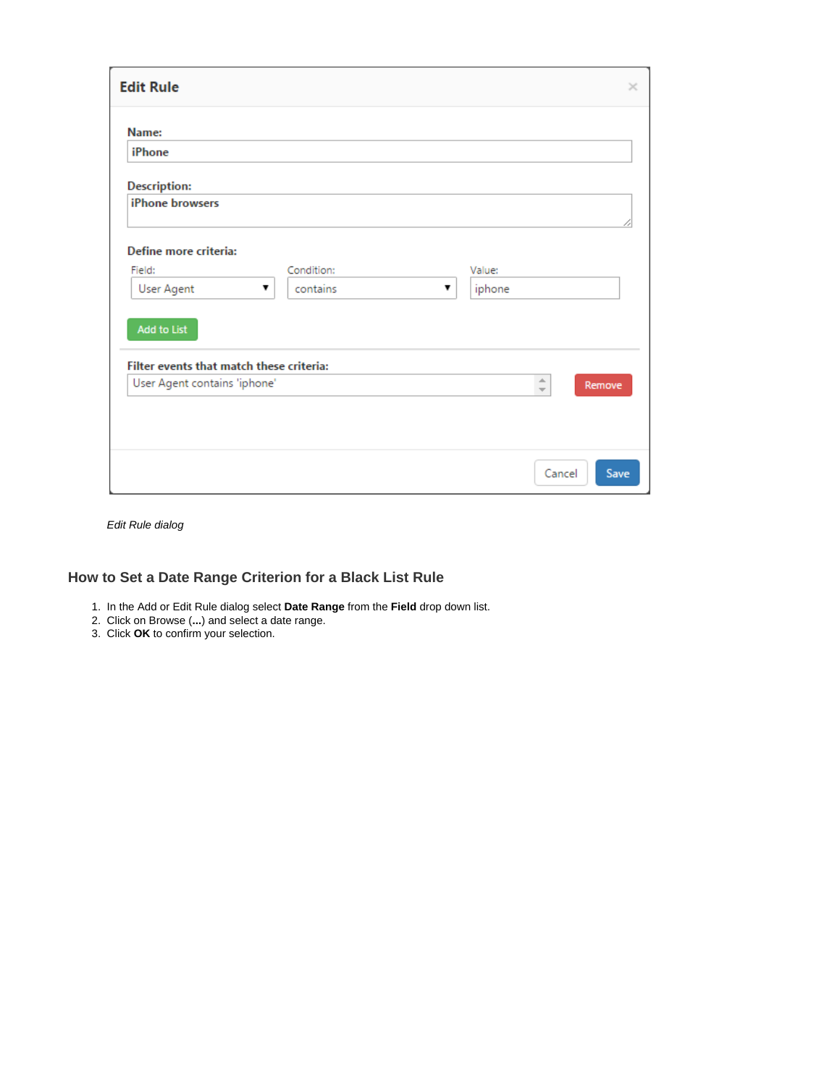| <b>Edit Rule</b>                                                                               |                        |                  | $\times$                                 |
|------------------------------------------------------------------------------------------------|------------------------|------------------|------------------------------------------|
| Name:<br>iPhone                                                                                |                        |                  |                                          |
| <b>Description:</b><br>iPhone browsers                                                         |                        |                  |                                          |
| Define more criteria:<br>Field:<br><b>User Agent</b><br>▼                                      | Condition:<br>contains | Value:<br>iphone |                                          |
| <b>Add to List</b><br>Filter events that match these criteria:<br>User Agent contains 'iphone' |                        |                  | A.<br>Remove<br>$\overline{\phantom{a}}$ |
|                                                                                                |                        |                  | Cancel<br>Save                           |

Edit Rule dialog

# <span id="page-2-0"></span>**How to Set a Date Range Criterion for a Black List Rule**

- 1. In the Add or Edit Rule dialog select **Date Range** from the **Field** drop down list.
- 2. Click on Browse (**...**) and select a date range.
- 3. Click **OK** to confirm your selection.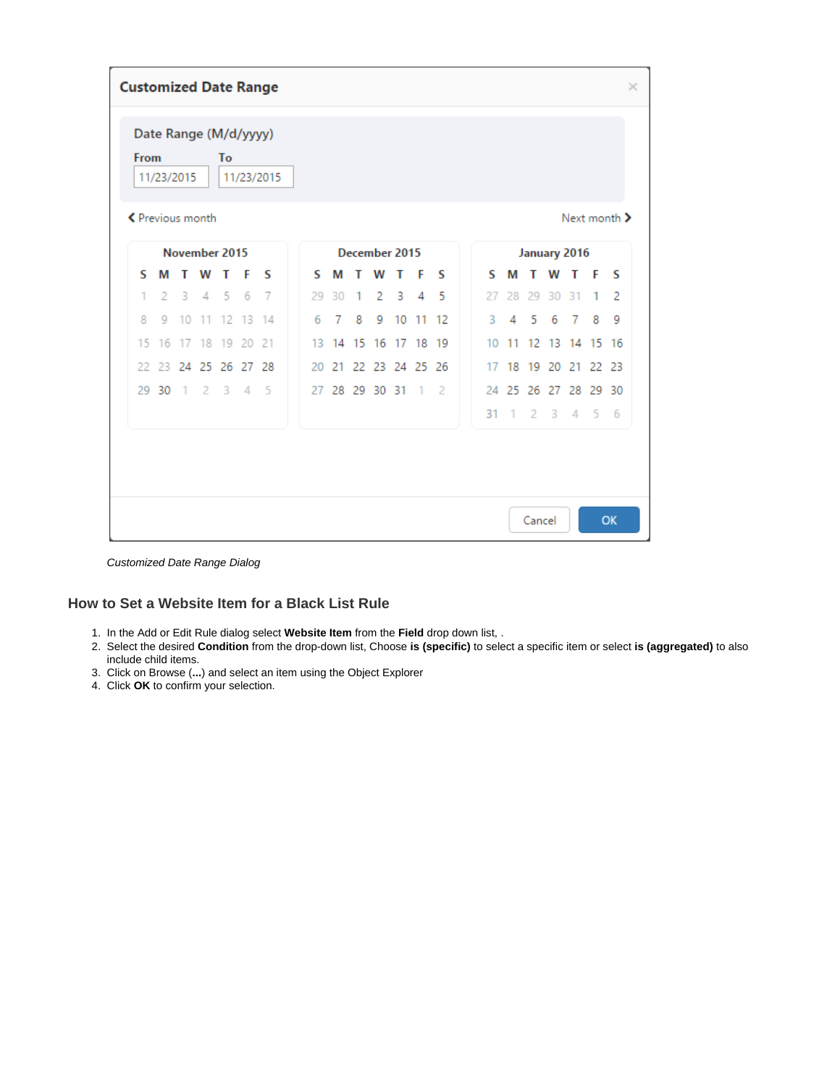|    | <b>Customized Date Range</b><br>$\times$                        |                |                   |    |                        |    |  |    |                |   |                   |          |         |                |    |        |    |                      |                |   |     |  |
|----|-----------------------------------------------------------------|----------------|-------------------|----|------------------------|----|--|----|----------------|---|-------------------|----------|---------|----------------|----|--------|----|----------------------|----------------|---|-----|--|
|    | Date Range (M/d/yyyy)<br>From<br>To<br>11/23/2015<br>11/23/2015 |                |                   |    |                        |    |  |    |                |   |                   |          |         |                |    |        |    |                      |                |   |     |  |
|    | ← Previous month<br>Next month >                                |                |                   |    |                        |    |  |    |                |   |                   |          |         |                |    |        |    |                      |                |   |     |  |
|    |                                                                 |                | November 2015     |    |                        |    |  |    |                |   | December 2015     |          |         |                |    |        |    | January 2016         |                |   |     |  |
| S  | М                                                               |                | W                 |    | F                      | s  |  | s  | М              | т | W                 | т        | F       | s              | S  | М      | т  | W                    | т              | F | s   |  |
| 1  | 2                                                               | 3              | 4                 | -5 | 6                      | -7 |  | 29 | 30             | 1 | 2                 | -3       | 4       | -5             | 27 | 28     | 29 | 30                   | 31             | 1 | 2   |  |
| 8  | 9                                                               | 10             | 11                |    | 12 13 14               |    |  | 6  | 7              | 8 | 9                 | 10 11 12 |         |                | 3  | 4      | -5 | 6                    | $\overline{7}$ | 8 | 9   |  |
| 15 |                                                                 |                | 16 17 18 19 20 21 |    |                        |    |  | 13 |                |   | 14 15 16 17 18 19 |          |         |                | 10 | 11     |    | 12 13 14 15 16       |                |   |     |  |
| 22 | 23                                                              |                | 24 25 26          |    | 27 28                  |    |  | 20 | 21             |   | 22 23 24 25       |          |         | -26            | 17 | 18     | 19 | 20                   | 21 22 23       |   |     |  |
|    | 29 30                                                           | $\overline{1}$ | $\overline{2}$    | 3  | $\boldsymbol{\Lambda}$ | 5  |  |    | 27 28 29 30 31 |   |                   |          | $^{-1}$ | $\overline{2}$ |    |        |    | 24 25 26 27 28 29 30 |                |   |     |  |
|    |                                                                 |                |                   |    |                        |    |  |    |                |   |                   |          |         |                | 31 | $\sim$ | -2 | $\mathbf{3}$         | $\overline{4}$ | 5 | - 6 |  |
|    |                                                                 |                |                   |    |                        |    |  |    |                |   |                   |          |         |                |    |        |    |                      |                |   |     |  |
|    | OK<br>Cancel                                                    |                |                   |    |                        |    |  |    |                |   |                   |          |         |                |    |        |    |                      |                |   |     |  |

Customized Date Range Dialog

# <span id="page-3-0"></span>**How to Set a Website Item for a Black List Rule**

- 1. In the Add or Edit Rule dialog select **Website Item** from the **Field** drop down list, .
- 2. Select the desired **Condition** from the drop-down list, Choose **is (specific)** to select a specific item or select **is (aggregated)** to also include child items.
- 3. Click on Browse (**...**) and select an item using the Object Explorer
- 4. Click **OK** to confirm your selection.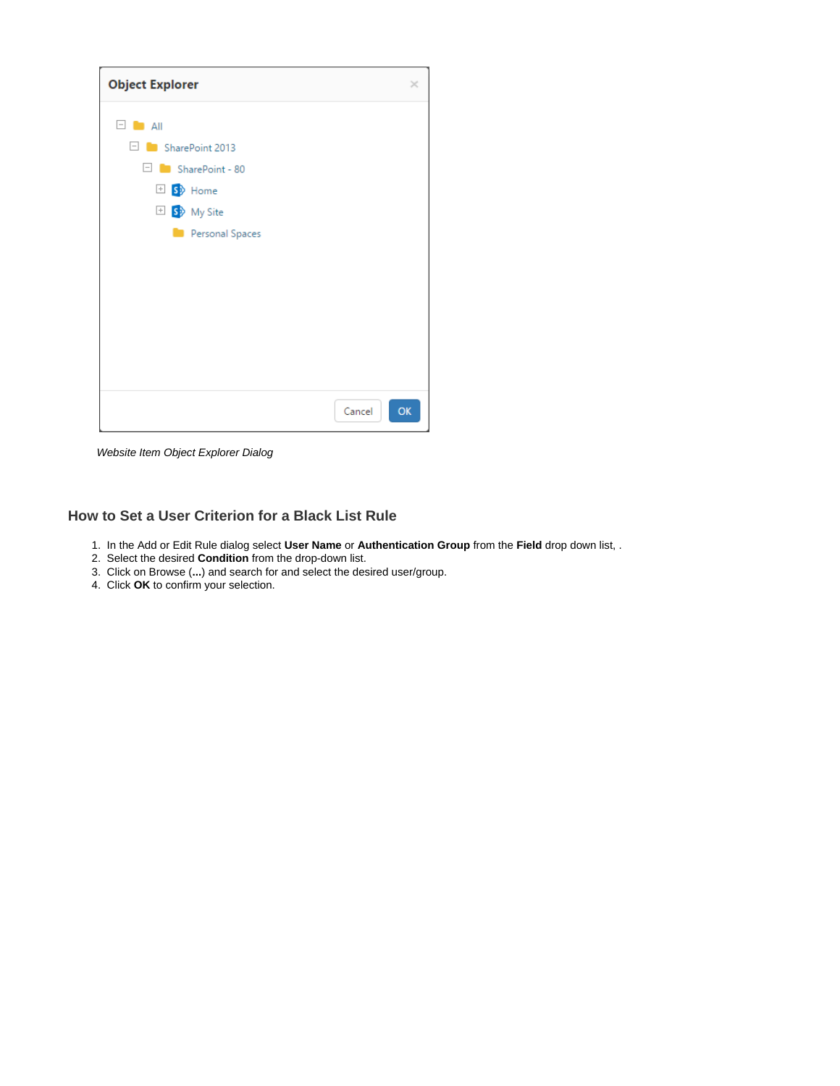| <b>Object Explorer</b>             | $\times$ |
|------------------------------------|----------|
| E.<br>$\blacksquare$ All           |          |
| SharePoint 2013<br>$\vert - \vert$ |          |
| $\Box$ SharePoint - 80             |          |
| El S <sup>b</sup> Home             |          |
| <b>El S</b> <sup>b</sup> My Site   |          |
| Personal Spaces<br>٠               |          |
|                                    |          |
|                                    |          |
|                                    |          |
|                                    |          |
|                                    |          |
|                                    |          |
|                                    |          |
| Cancel                             | OK       |

Website Item Object Explorer Dialog

# <span id="page-4-0"></span>**How to Set a User Criterion for a Black List Rule**

- 1. In the Add or Edit Rule dialog select **User Name** or **Authentication Group** from the **Field** drop down list, .
- 2. Select the desired **Condition** from the drop-down list.
- 3. Click on Browse (**...**) and search for and select the desired user/group.
- 4. Click **OK** to confirm your selection.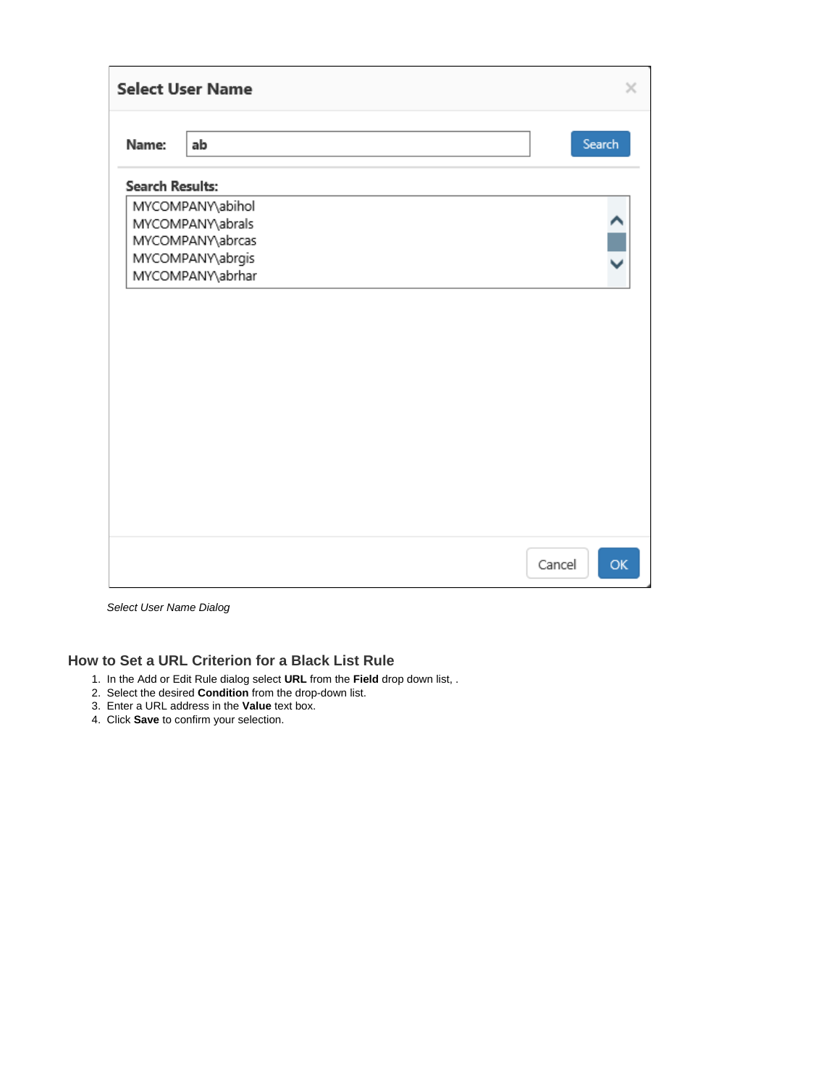|                        | <b>Select User Name</b>                                                                          |  |        | ×      |
|------------------------|--------------------------------------------------------------------------------------------------|--|--------|--------|
| Name:                  | ab                                                                                               |  |        | Search |
| <b>Search Results:</b> |                                                                                                  |  |        |        |
|                        | MYCOMPANY\abihol<br>MYCOMPANY\abrals<br>MYCOMPANY\abrcas<br>MYCOMPANY\abrgis<br>MYCOMPANY\abrhar |  |        |        |
|                        |                                                                                                  |  | Cancel | OK     |

Select User Name Dialog

## <span id="page-5-0"></span>**How to Set a URL Criterion for a Black List Rule**

- 1. In the Add or Edit Rule dialog select **URL** from the **Field** drop down list, .
- 2. Select the desired **Condition** from the drop-down list.
- 3. Enter a URL address in the **Value** text box.
- 4. Click **Save** to confirm your selection.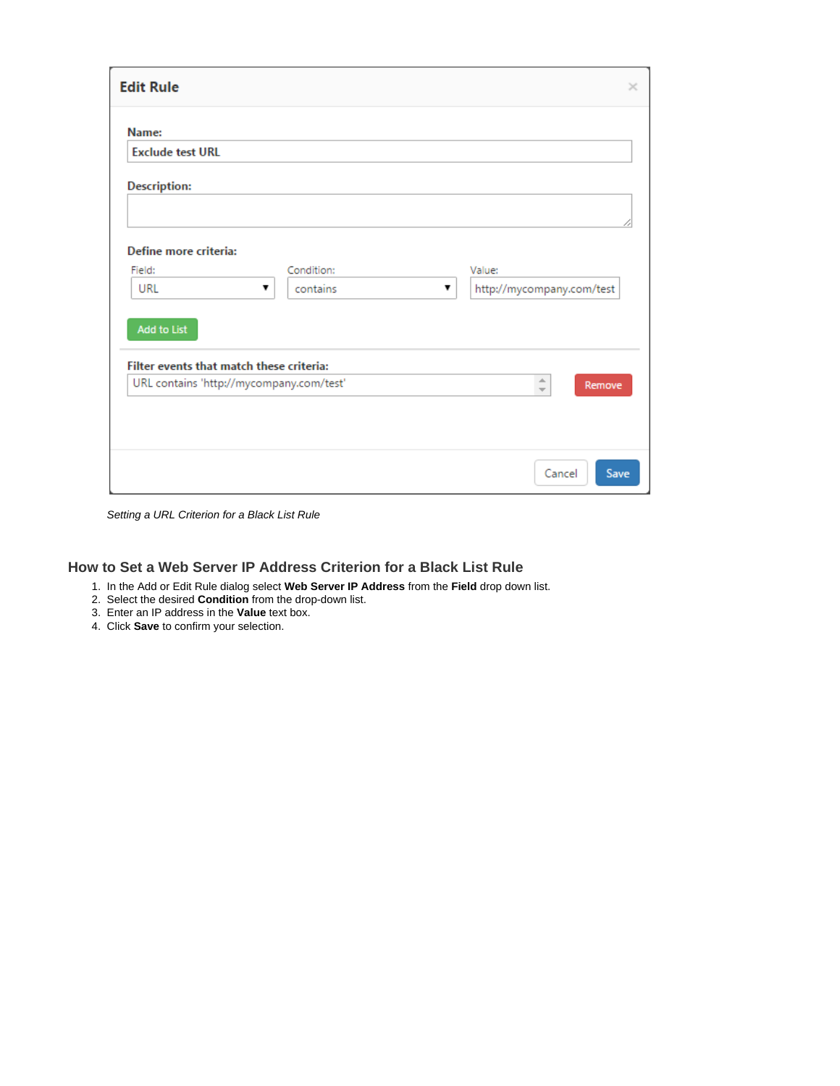| <b>Edit Rule</b>                                                                     |            |   |                                    | $\times$ |
|--------------------------------------------------------------------------------------|------------|---|------------------------------------|----------|
| Name:<br><b>Exclude test URL</b>                                                     |            |   |                                    |          |
| <b>Description:</b>                                                                  |            |   |                                    |          |
| Define more criteria:<br>Field:                                                      | Condition: |   | Value:                             |          |
| URL<br>7<br><b>Add to List</b>                                                       | contains   | 7 | http://mycompany.com/test          |          |
| Filter events that match these criteria:<br>URL contains 'http://mycompany.com/test' |            |   | ÷.                                 |          |
|                                                                                      |            |   | Remove<br>$\overline{\phantom{a}}$ |          |
|                                                                                      |            |   | Cancel<br>Save                     |          |

Setting a URL Criterion for a Black List Rule

### <span id="page-6-0"></span>**How to Set a Web Server IP Address Criterion for a Black List Rule**

- 1. In the Add or Edit Rule dialog select **Web Server IP Address** from the **Field** drop down list.
- 2. Select the desired **Condition** from the drop-down list.
- 3. Enter an IP address in the **Value** text box.
- 4. Click **Save** to confirm your selection.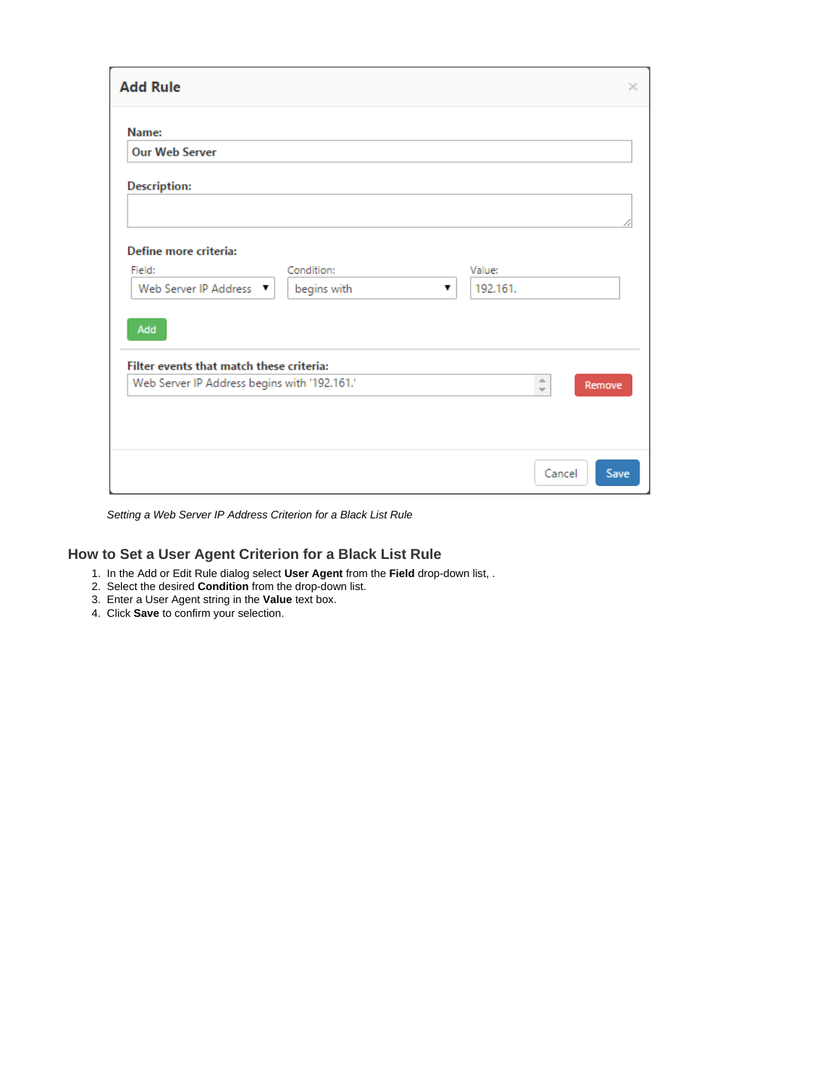| <b>Add Rule</b>                              |             |   |          |           | $\times$ |
|----------------------------------------------|-------------|---|----------|-----------|----------|
| Name:<br><b>Our Web Server</b>               |             |   |          |           |          |
| <b>Description:</b>                          |             |   |          |           |          |
|                                              |             |   |          |           |          |
| Define more criteria:<br>Field:              | Condition:  |   | Value:   |           |          |
| Web Server IP Address ▼                      | begins with | ▼ | 192.161. |           |          |
| Add                                          |             |   |          |           |          |
| Filter events that match these criteria:     |             |   |          |           |          |
| Web Server IP Address begins with '192.161.' |             |   |          | $\hat{=}$ | Remove   |
|                                              |             |   |          |           |          |
|                                              |             |   |          |           |          |
|                                              |             |   |          | Cancel    | Save     |

Setting a Web Server IP Address Criterion for a Black List Rule

#### <span id="page-7-0"></span>**How to Set a User Agent Criterion for a Black List Rule**

- 1. In the Add or Edit Rule dialog select **User Agent** from the **Field** drop-down list, .
- 2. Select the desired **Condition** from the drop-down list.
- 3. Enter a User Agent string in the **Value** text box.
- 4. Click **Save** to confirm your selection.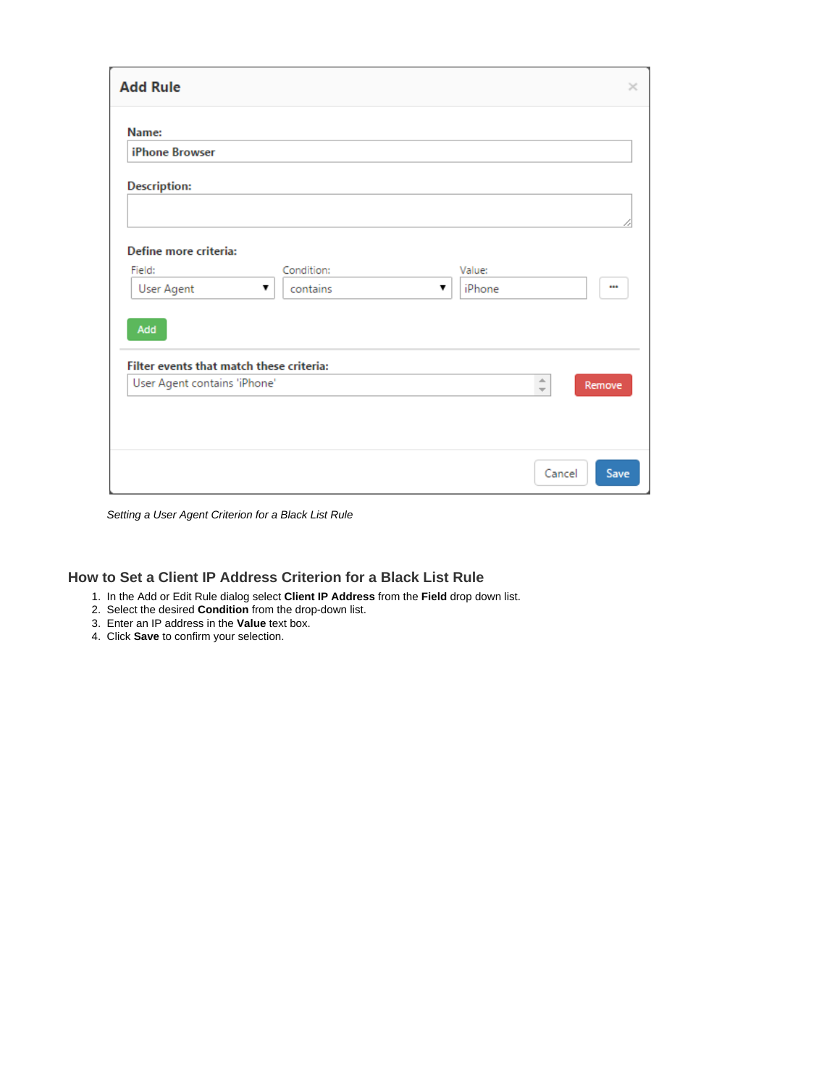| <b>Add Rule</b>                                      |                             |                       | ×                                  |
|------------------------------------------------------|-----------------------------|-----------------------|------------------------------------|
| Name:<br><b>iPhone Browser</b>                       |                             |                       |                                    |
| <b>Description:</b>                                  |                             |                       |                                    |
| Define more criteria:<br>Field:<br><b>User Agent</b> | Condition:<br>contains<br>▼ | Value:<br>iPhone<br>▼ | $\cdots$                           |
| Add<br>Filter events that match these criteria:      |                             |                       | $\triangle$                        |
| User Agent contains 'iPhone'                         |                             |                       | Remove<br>$\overline{\mathcal{M}}$ |
|                                                      |                             |                       | Cancel<br>Save                     |

Setting a User Agent Criterion for a Black List Rule

## <span id="page-8-0"></span>**How to Set a Client IP Address Criterion for a Black List Rule**

- 1. In the Add or Edit Rule dialog select **Client IP Address** from the **Field** drop down list.
- 2. Select the desired **Condition** from the drop-down list.
- 3. Enter an IP address in the **Value** text box.
- 4. Click **Save** to confirm your selection.